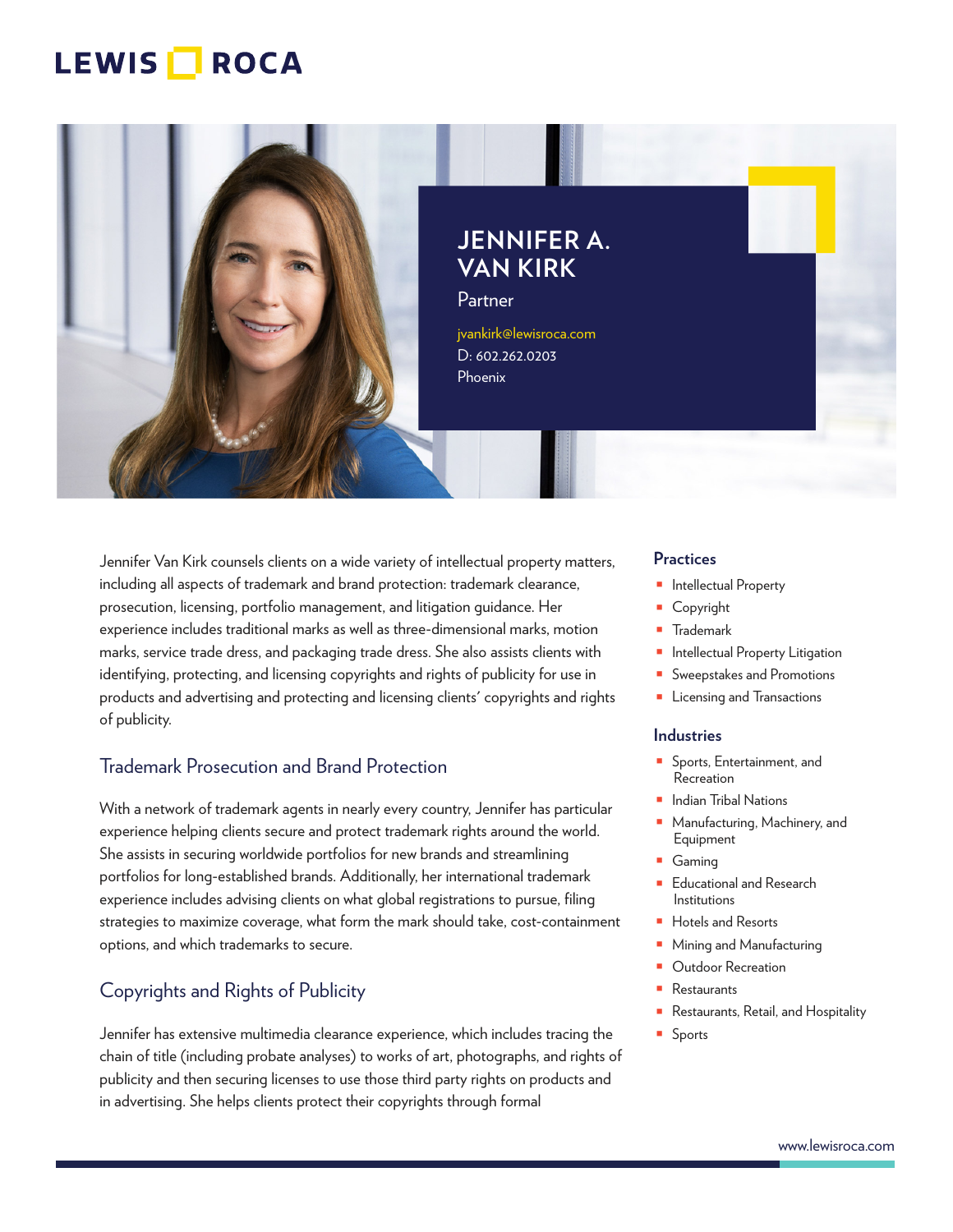

**JENNIFER A. VAN KIRK**

Partner

jvankirk@lewisroca.com D: 602.262.0203 Phoenix

Jennifer Van Kirk counsels clients on a wide variety of intellectual property matters, including all aspects of trademark and brand protection: trademark clearance, prosecution, licensing, portfolio management, and litigation guidance. Her experience includes traditional marks as well as three-dimensional marks, motion marks, service trade dress, and packaging trade dress. She also assists clients with identifying, protecting, and licensing copyrights and rights of publicity for use in products and advertising and protecting and licensing clients' copyrights and rights of publicity.

## Trademark Prosecution and Brand Protection

With a network of trademark agents in nearly every country, Jennifer has particular experience helping clients secure and protect trademark rights around the world. She assists in securing worldwide portfolios for new brands and streamlining portfolios for long-established brands. Additionally, her international trademark experience includes advising clients on what global registrations to pursue, filing strategies to maximize coverage, what form the mark should take, cost-containment options, and which trademarks to secure.

## Copyrights and Rights of Publicity

Jennifer has extensive multimedia clearance experience, which includes tracing the chain of title (including probate analyses) to works of art, photographs, and rights of publicity and then securing licenses to use those third party rights on products and in advertising. She helps clients protect their copyrights through formal

#### **Practices**

- Intellectual Property
- Copyright
- Trademark
- Intellectual Property Litigation
- Sweepstakes and Promotions
- Licensing and Transactions

#### **Industries**

- Sports, Entertainment, and Recreation
- Indian Tribal Nations
- Manufacturing, Machinery, and Equipment
- Gaming
- Educational and Research Institutions
- Hotels and Resorts
- Mining and Manufacturing
- **Outdoor Recreation**
- Restaurants
- Restaurants, Retail, and Hospitality
- Sports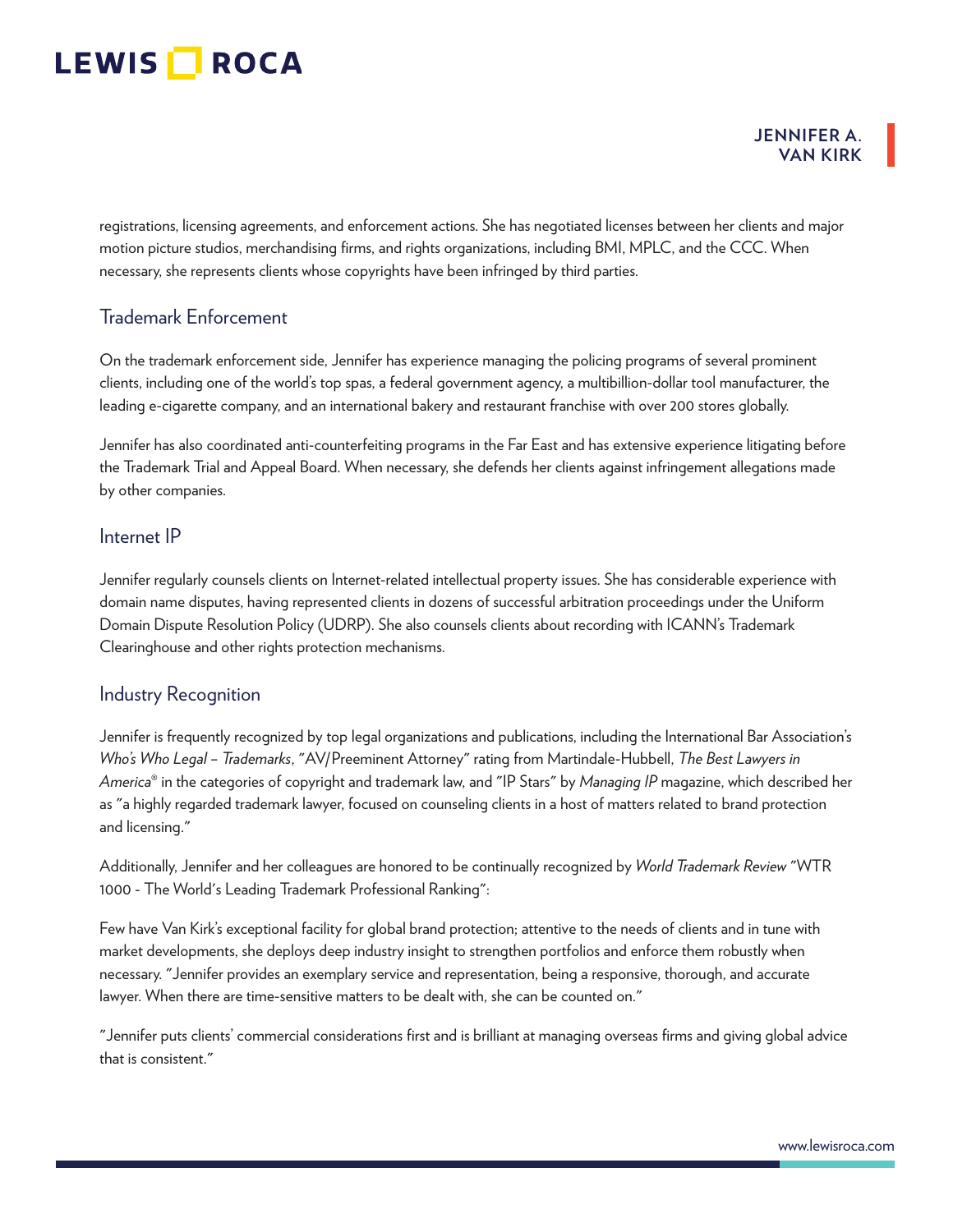#### **JENNIFER A. VAN KIRK**

registrations, licensing agreements, and enforcement actions. She has negotiated licenses between her clients and major motion picture studios, merchandising firms, and rights organizations, including BMI, MPLC, and the CCC. When necessary, she represents clients whose copyrights have been infringed by third parties.

### Trademark Enforcement

On the trademark enforcement side, Jennifer has experience managing the policing programs of several prominent clients, including one of the world's top spas, a federal government agency, a multibillion-dollar tool manufacturer, the leading e-cigarette company, and an international bakery and restaurant franchise with over 200 stores globally.

Jennifer has also coordinated anti-counterfeiting programs in the Far East and has extensive experience litigating before the Trademark Trial and Appeal Board. When necessary, she defends her clients against infringement allegations made by other companies.

#### Internet IP

Jennifer regularly counsels clients on Internet-related intellectual property issues. She has considerable experience with domain name disputes, having represented clients in dozens of successful arbitration proceedings under the Uniform Domain Dispute Resolution Policy (UDRP). She also counsels clients about recording with ICANN's Trademark Clearinghouse and other rights protection mechanisms.

#### Industry Recognition

Jennifer is frequently recognized by top legal organizations and publications, including the International Bar Association's *Who's Who Legal – Trademarks*, "AV/Preeminent Attorney" rating from Martindale-Hubbell, *The Best Lawyers in America*® in the categories of copyright and trademark law, and "IP Stars" by *Managing IP* magazine, which described her as "a highly regarded trademark lawyer, focused on counseling clients in a host of matters related to brand protection and licensing."

Additionally, Jennifer and her colleagues are honored to be continually recognized by *World Trademark Review* "WTR 1000 - The World's Leading Trademark Professional Ranking":

Few have Van Kirk's exceptional facility for global brand protection; attentive to the needs of clients and in tune with market developments, she deploys deep industry insight to strengthen portfolios and enforce them robustly when necessary. "Jennifer provides an exemplary service and representation, being a responsive, thorough, and accurate lawyer. When there are time-sensitive matters to be dealt with, she can be counted on."

"Jennifer puts clients' commercial considerations first and is brilliant at managing overseas firms and giving global advice that is consistent."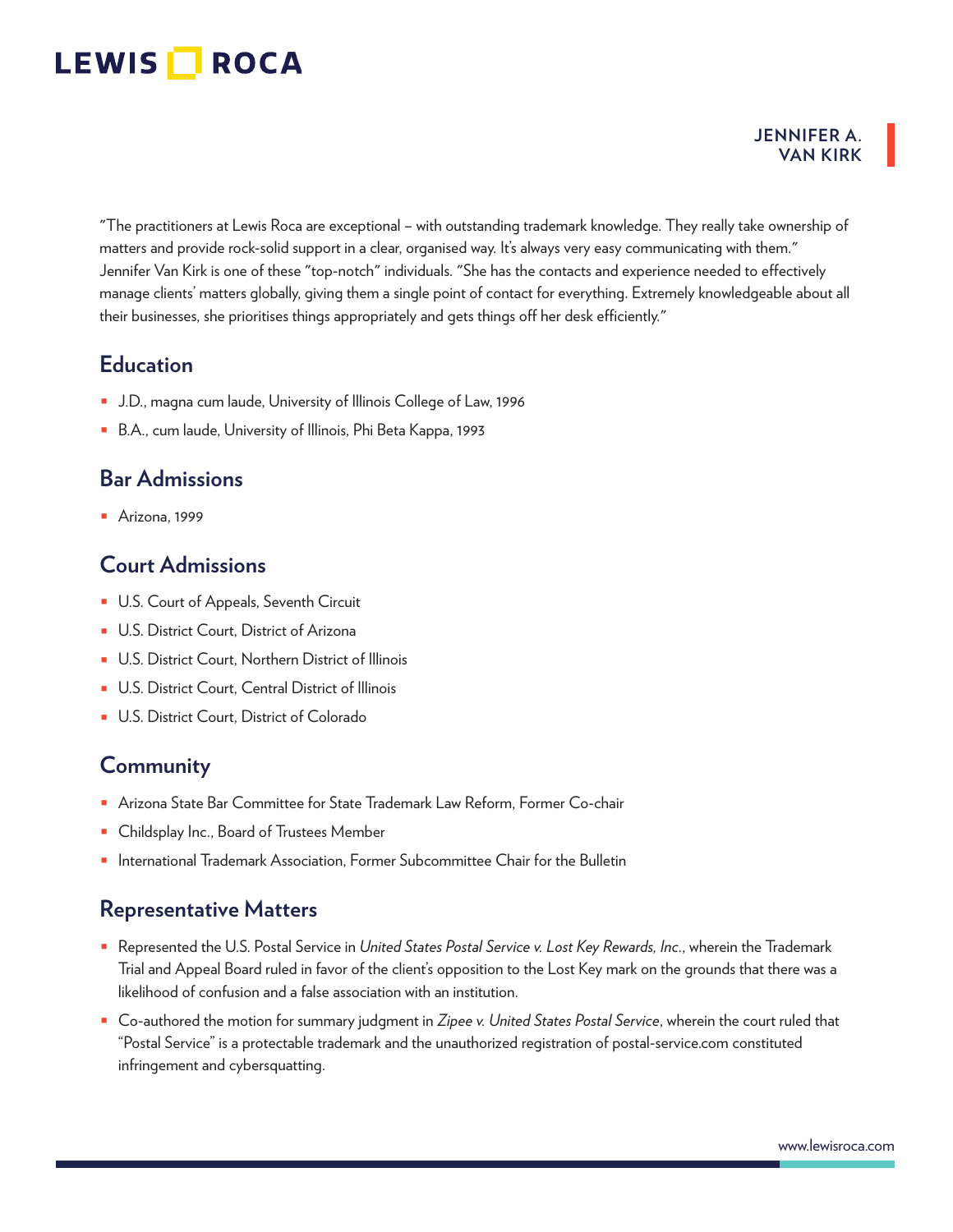#### **JENNIFER A. VAN KIRK**

"The practitioners at Lewis Roca are exceptional – with outstanding trademark knowledge. They really take ownership of matters and provide rock-solid support in a clear, organised way. It's always very easy communicating with them." Jennifer Van Kirk is one of these "top-notch" individuals. "She has the contacts and experience needed to effectively manage clients' matters globally, giving them a single point of contact for everything. Extremely knowledgeable about all their businesses, she prioritises things appropriately and gets things off her desk efficiently."

## **Education**

- J.D., magna cum laude, University of Illinois College of Law, 1996
- B.A., cum laude, University of Illinois, Phi Beta Kappa, 1993

## **Bar Admissions**

■ Arizona, 1999

## **Court Admissions**

- U.S. Court of Appeals, Seventh Circuit
- U.S. District Court, District of Arizona
- U.S. District Court, Northern District of Illinois
- U.S. District Court, Central District of Illinois
- U.S. District Court, District of Colorado

## **Community**

- Arizona State Bar Committee for State Trademark Law Reform, Former Co-chair
- Childsplay Inc., Board of Trustees Member
- International Trademark Association, Former Subcommittee Chair for the Bulletin

## **Representative Matters**

- Represented the U.S. Postal Service in *United States Postal Service v. Lost Key Rewards, Inc*., wherein the Trademark Trial and Appeal Board ruled in favor of the client's opposition to the Lost Key mark on the grounds that there was a likelihood of confusion and a false association with an institution.
- Co-authored the motion for summary judgment in *Zipee v. United States Postal Service*, wherein the court ruled that "Postal Service" is a protectable trademark and the unauthorized registration of postal-service.com constituted infringement and cybersquatting.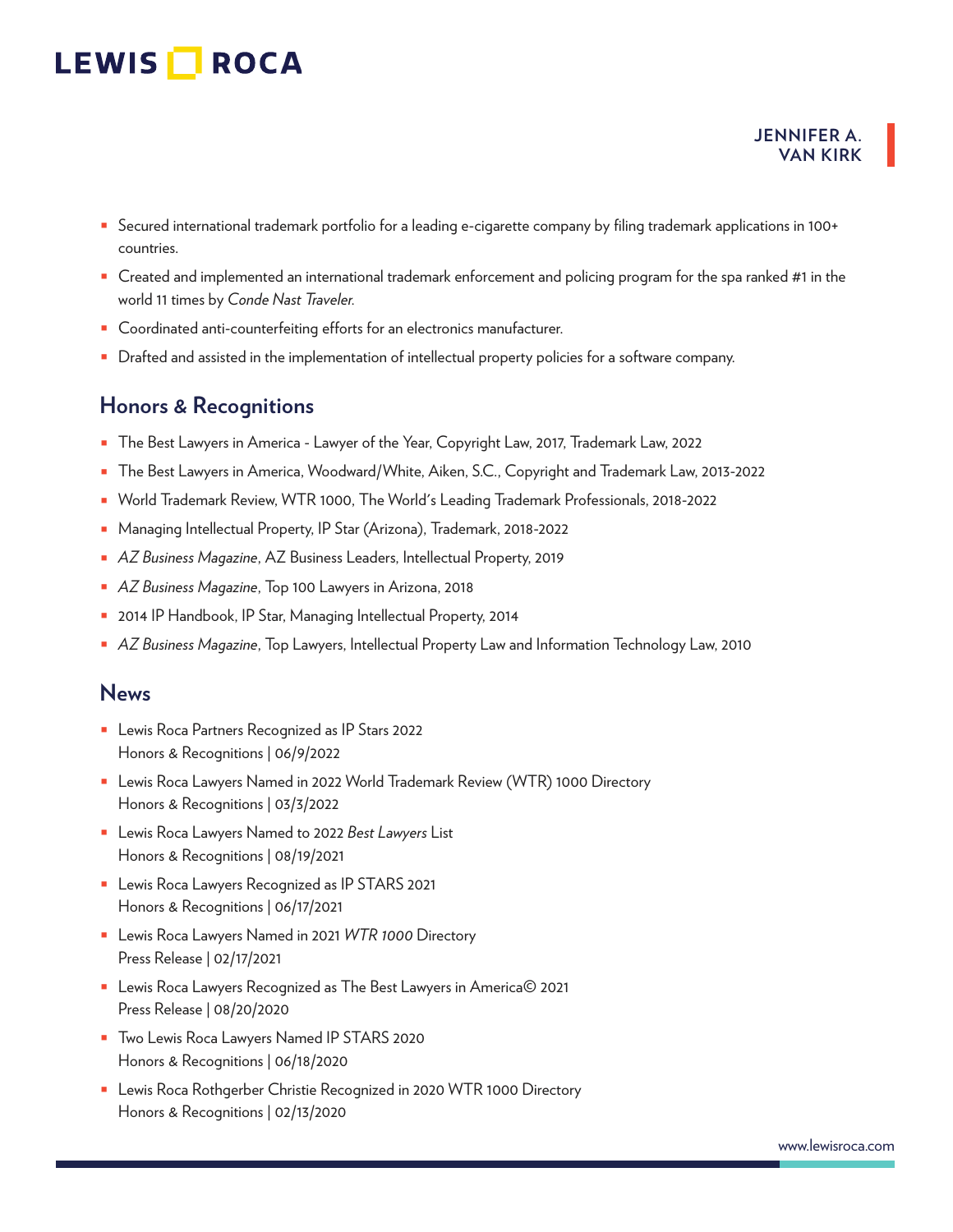- Secured international trademark portfolio for a leading e-cigarette company by filing trademark applications in 100+ countries.
- Created and implemented an international trademark enforcement and policing program for the spa ranked #1 in the world 11 times by *Conde Nast Traveler.*
- Coordinated anti-counterfeiting efforts for an electronics manufacturer.
- Drafted and assisted in the implementation of intellectual property policies for a software company.

## **Honors & Recognitions**

- The Best Lawyers in America Lawyer of the Year, Copyright Law, 2017, Trademark Law, 2022
- The Best Lawyers in America, Woodward/White, Aiken, S.C., Copyright and Trademark Law, 2013-2022
- World Trademark Review, WTR 1000, The World's Leading Trademark Professionals, 2018-2022
- Managing Intellectual Property, IP Star (Arizona), Trademark, 2018-2022
- *AZ Business Magazine*, AZ Business Leaders, Intellectual Property, 2019
- *AZ Business Magazine*, Top 100 Lawyers in Arizona, 2018
- 2014 IP Handbook, IP Star, Managing Intellectual Property, 2014
- *AZ Business Magazine*, Top Lawyers, Intellectual Property Law and Information Technology Law, 2010

### **News**

- Lewis Roca Partners Recognized as IP Stars 2022 Honors & Recognitions | 06/9/2022
- Lewis Roca Lawyers Named in 2022 World Trademark Review (WTR) 1000 Directory Honors & Recognitions | 03/3/2022
- Lewis Roca Lawyers Named to 2022 *Best Lawyers* List Honors & Recognitions | 08/19/2021
- Lewis Roca Lawyers Recognized as IP STARS 2021 Honors & Recognitions | 06/17/2021
- Lewis Roca Lawyers Named in 2021 *WTR 1000* Directory Press Release | 02/17/2021
- Lewis Roca Lawyers Recognized as The Best Lawyers in America© 2021 Press Release | 08/20/2020
- Two Lewis Roca Lawyers Named IP STARS 2020 Honors & Recognitions | 06/18/2020
- Lewis Roca Rothgerber Christie Recognized in 2020 WTR 1000 Directory Honors & Recognitions | 02/13/2020

**JENNIFER A. VAN KIRK**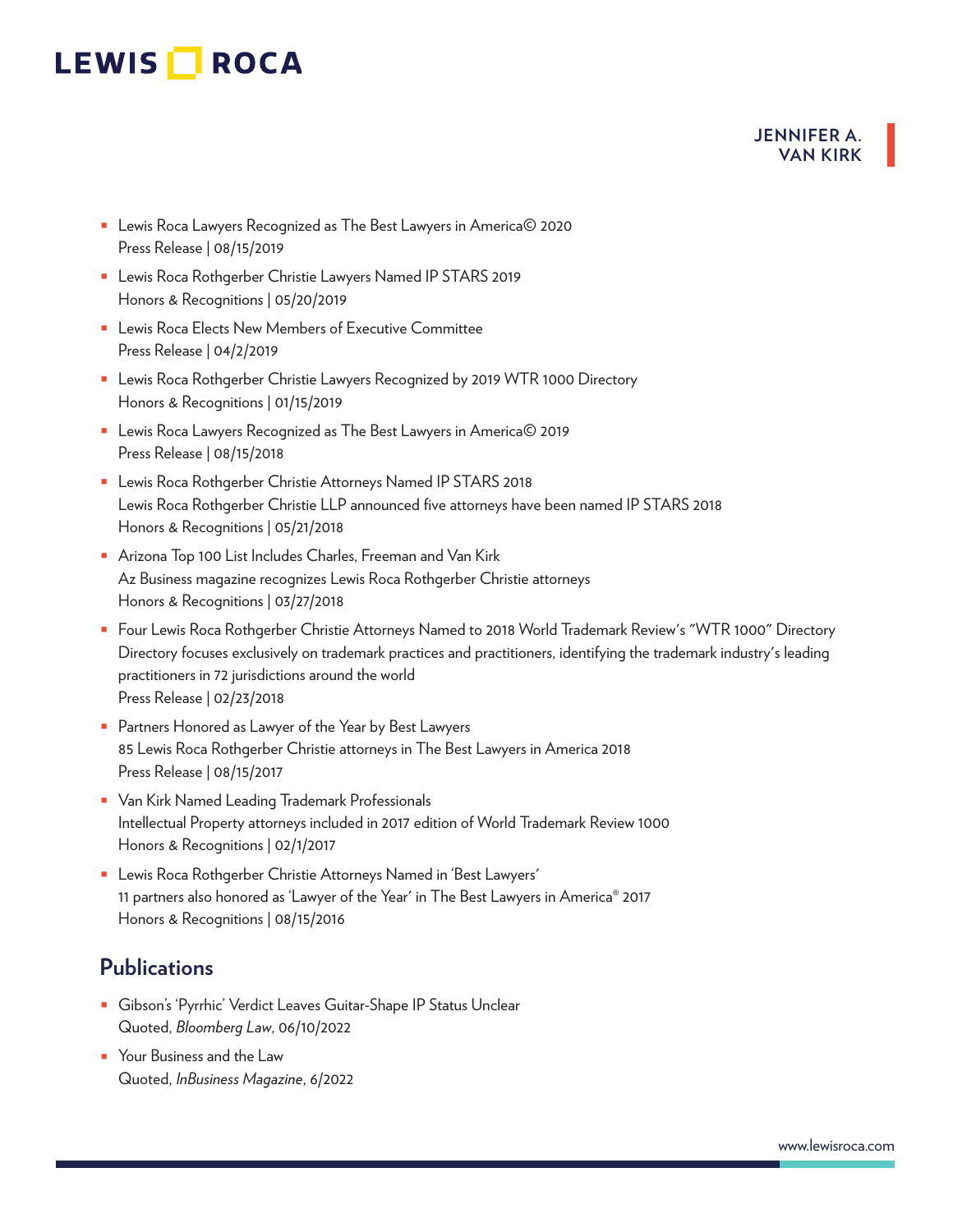#### **JENNIFER A. VAN KIRK**

- Lewis Roca Lawyers Recognized as The Best Lawyers in America© 2020 Press Release | 08/15/2019
- Lewis Roca Rothgerber Christie Lawyers Named IP STARS 2019 Honors & Recognitions | 05/20/2019
- Lewis Roca Elects New Members of Executive Committee Press Release | 04/2/2019
- Lewis Roca Rothgerber Christie Lawyers Recognized by 2019 WTR 1000 Directory Honors & Recognitions | 01/15/2019
- Lewis Roca Lawyers Recognized as The Best Lawyers in America© 2019 Press Release | 08/15/2018
- Lewis Roca Rothgerber Christie Attorneys Named IP STARS 2018 Lewis Roca Rothgerber Christie LLP announced five attorneys have been named IP STARS 2018 Honors & Recognitions | 05/21/2018
- Arizona Top 100 List Includes Charles, Freeman and Van Kirk Az Business magazine recognizes Lewis Roca Rothgerber Christie attorneys Honors & Recognitions | 03/27/2018
- Four Lewis Roca Rothgerber Christie Attorneys Named to 2018 World Trademark Review's "WTR 1000" Directory Directory focuses exclusively on trademark practices and practitioners, identifying the trademark industry's leading practitioners in 72 jurisdictions around the world Press Release | 02/23/2018
- Partners Honored as Lawyer of the Year by Best Lawyers 85 Lewis Roca Rothgerber Christie attorneys in The Best Lawyers in America 2018 Press Release | 08/15/2017
- Van Kirk Named Leading Trademark Professionals Intellectual Property attorneys included in 2017 edition of World Trademark Review 1000 Honors & Recognitions | 02/1/2017
- Lewis Roca Rothgerber Christie Attorneys Named in 'Best Lawyers' 11 partners also honored as 'Lawyer of the Year' in The Best Lawyers in America® 2017 Honors & Recognitions | 08/15/2016

## **Publications**

- Gibson's 'Pyrrhic' Verdict Leaves Guitar-Shape IP Status Unclear Quoted, *Bloomberg Law*, 06/10/2022
- Your Business and the Law Quoted, *InBusiness Magazine*, 6/2022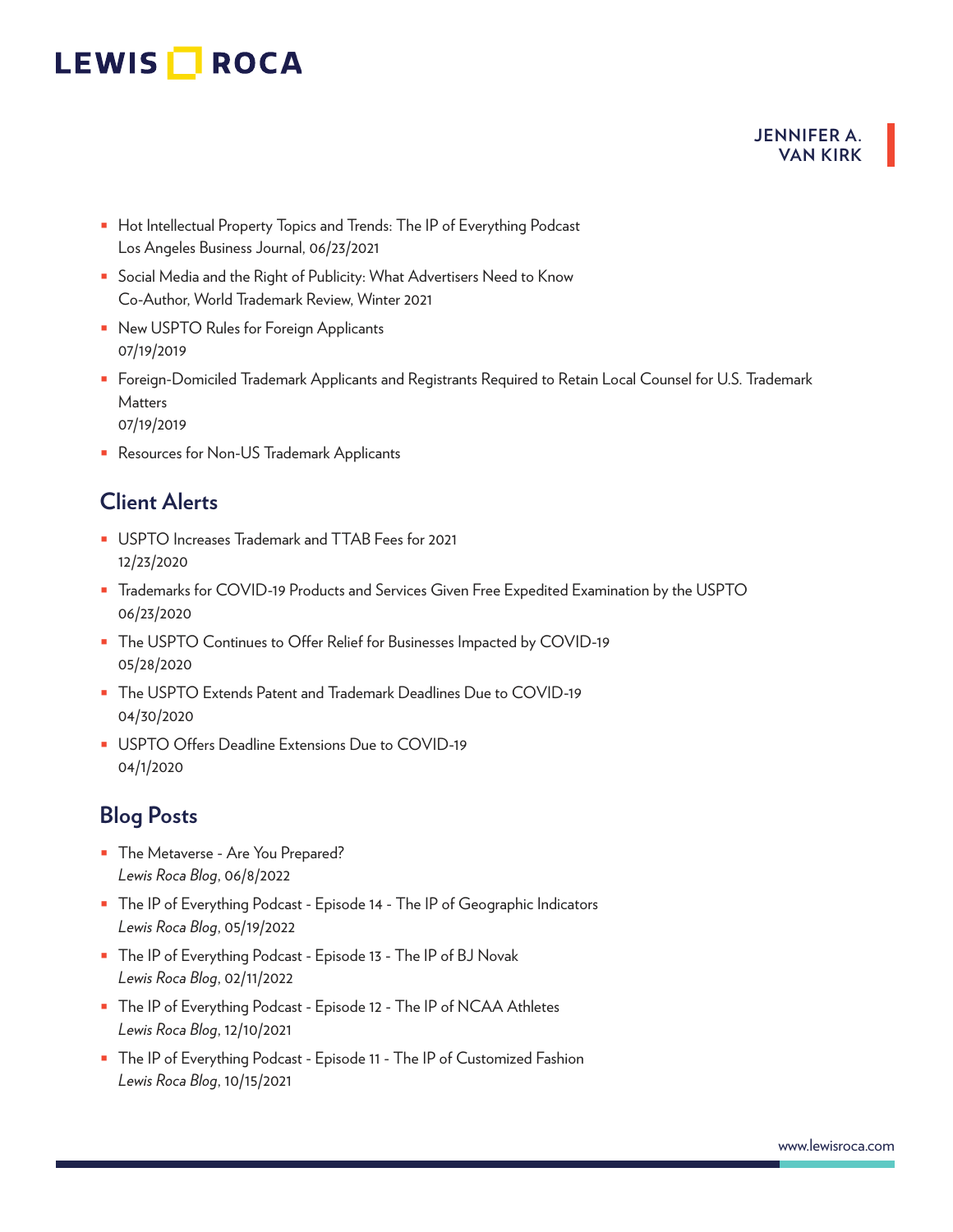### **JENNIFER A. VAN KIRK**

- Hot Intellectual Property Topics and Trends: The IP of Everything Podcast Los Angeles Business Journal, 06/23/2021
- Social Media and the Right of Publicity: What Advertisers Need to Know Co-Author, World Trademark Review, Winter 2021
- New USPTO Rules for Foreign Applicants 07/19/2019
- Foreign-Domiciled Trademark Applicants and Registrants Required to Retain Local Counsel for U.S. Trademark Matters
	- 07/19/2019
- Resources for Non-US Trademark Applicants

## **Client Alerts**

- USPTO Increases Trademark and TTAB Fees for 2021 12/23/2020
- Trademarks for COVID-19 Products and Services Given Free Expedited Examination by the USPTO 06/23/2020
- The USPTO Continues to Offer Relief for Businesses Impacted by COVID-19 05/28/2020
- The USPTO Extends Patent and Trademark Deadlines Due to COVID-19 04/30/2020
- USPTO Offers Deadline Extensions Due to COVID-19 04/1/2020

# **Blog Posts**

- The Metaverse Are You Prepared? *Lewis Roca Blog*, 06/8/2022
- The IP of Everything Podcast Episode 14 The IP of Geographic Indicators *Lewis Roca Blog*, 05/19/2022
- The IP of Everything Podcast Episode 13 The IP of BJ Novak *Lewis Roca Blog*, 02/11/2022
- The IP of Everything Podcast Episode 12 The IP of NCAA Athletes *Lewis Roca Blog*, 12/10/2021
- The IP of Everything Podcast Episode 11 The IP of Customized Fashion *Lewis Roca Blog*, 10/15/2021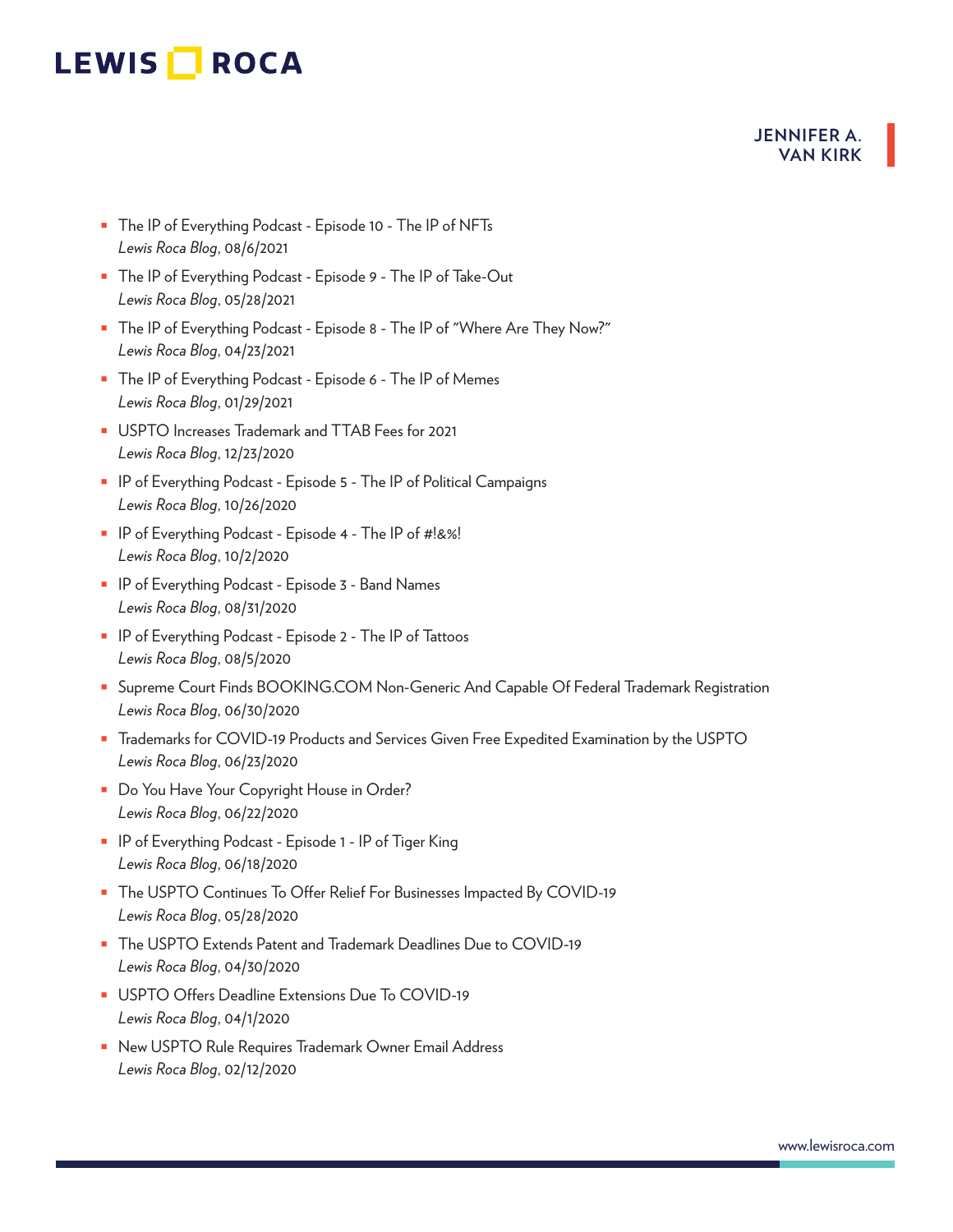#### **JENNIFER A. VAN KIRK**

- The IP of Everything Podcast Episode 10 The IP of NFTs *Lewis Roca Blog*, 08/6/2021
- The IP of Everything Podcast Episode 9 The IP of Take-Out *Lewis Roca Blog*, 05/28/2021
- The IP of Everything Podcast Episode 8 The IP of "Where Are They Now?" *Lewis Roca Blog*, 04/23/2021
- The IP of Everything Podcast Episode 6 The IP of Memes *Lewis Roca Blog*, 01/29/2021
- USPTO Increases Trademark and TTAB Fees for 2021 *Lewis Roca Blog*, 12/23/2020
- IP of Everything Podcast Episode 5 The IP of Political Campaigns *Lewis Roca Blog*, 10/26/2020
- IP of Everything Podcast Episode 4 The IP of #!&%! *Lewis Roca Blog*, 10/2/2020
- IP of Everything Podcast Episode 3 Band Names *Lewis Roca Blog*, 08/31/2020
- IP of Everything Podcast Episode 2 The IP of Tattoos *Lewis Roca Blog*, 08/5/2020
- Supreme Court Finds BOOKING.COM Non-Generic And Capable Of Federal Trademark Registration *Lewis Roca Blog*, 06/30/2020
- Trademarks for COVID-19 Products and Services Given Free Expedited Examination by the USPTO *Lewis Roca Blog*, 06/23/2020
- Do You Have Your Copyright House in Order? *Lewis Roca Blog*, 06/22/2020
- IP of Everything Podcast Episode 1 IP of Tiger King *Lewis Roca Blog*, 06/18/2020
- The USPTO Continues To Offer Relief For Businesses Impacted By COVID-19 *Lewis Roca Blog*, 05/28/2020
- The USPTO Extends Patent and Trademark Deadlines Due to COVID-19 *Lewis Roca Blog*, 04/30/2020
- USPTO Offers Deadline Extensions Due To COVID-19 *Lewis Roca Blog*, 04/1/2020
- New USPTO Rule Requires Trademark Owner Email Address *Lewis Roca Blog*, 02/12/2020